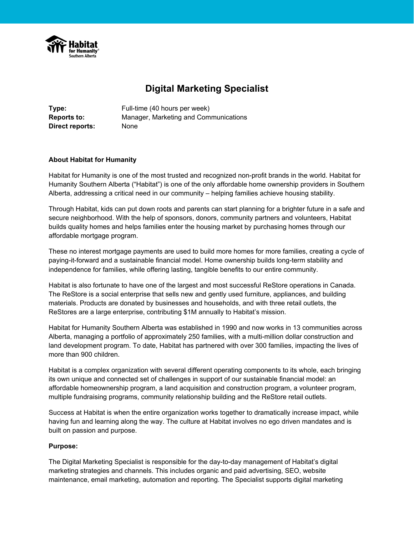

# **Digital Marketing Specialist**

**Type:** Full-time (40 hours per week) **Reports to:** Manager, Marketing and Communications **Direct reports:** None

### **About Habitat for Humanity**

Habitat for Humanity is one of the most trusted and recognized non-profit brands in the world. Habitat for Humanity Southern Alberta ("Habitat") is one of the only affordable home ownership providers in Southern Alberta, addressing a critical need in our community – helping families achieve housing stability.

Through Habitat, kids can put down roots and parents can start planning for a brighter future in a safe and secure neighborhood. With the help of sponsors, donors, community partners and volunteers, Habitat builds quality homes and helps families enter the housing market by purchasing homes through our affordable mortgage program.

These no interest mortgage payments are used to build more homes for more families, creating a cycle of paying-it-forward and a sustainable financial model. Home ownership builds long-term stability and independence for families, while offering lasting, tangible benefits to our entire community.

Habitat is also fortunate to have one of the largest and most successful ReStore operations in Canada. The ReStore is a social enterprise that sells new and gently used furniture, appliances, and building materials. Products are donated by businesses and households, and with three retail outlets, the ReStores are a large enterprise, contributing \$1M annually to Habitat's mission.

Habitat for Humanity Southern Alberta was established in 1990 and now works in 13 communities across Alberta, managing a portfolio of approximately 250 families, with a multi-million dollar construction and land development program. To date, Habitat has partnered with over 300 families, impacting the lives of more than 900 children.

Habitat is a complex organization with several different operating components to its whole, each bringing its own unique and connected set of challenges in support of our sustainable financial model: an affordable homeownership program, a land acquisition and construction program, a volunteer program, multiple fundraising programs, community relationship building and the ReStore retail outlets.

Success at Habitat is when the entire organization works together to dramatically increase impact, while having fun and learning along the way. The culture at Habitat involves no ego driven mandates and is built on passion and purpose.

#### **Purpose:**

The Digital Marketing Specialist is responsible for the day-to-day management of Habitat's digital marketing strategies and channels. This includes organic and paid advertising, SEO, website maintenance, email marketing, automation and reporting. The Specialist supports digital marketing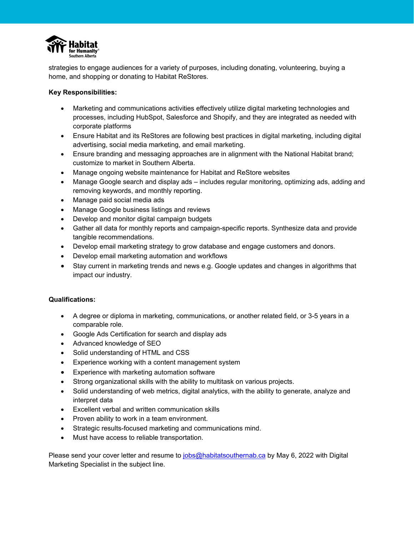

strategies to engage audiences for a variety of purposes, including donating, volunteering, buying a home, and shopping or donating to Habitat ReStores.

## **Key Responsibilities:**

- Marketing and communications activities effectively utilize digital marketing technologies and processes, including HubSpot, Salesforce and Shopify, and they are integrated as needed with corporate platforms
- Ensure Habitat and its ReStores are following best practices in digital marketing, including digital advertising, social media marketing, and email marketing.
- Ensure branding and messaging approaches are in alignment with the National Habitat brand; customize to market in Southern Alberta.
- Manage ongoing website maintenance for Habitat and ReStore websites
- Manage Google search and display ads includes regular monitoring, optimizing ads, adding and removing keywords, and monthly reporting.
- Manage paid social media ads
- Manage Google business listings and reviews
- Develop and monitor digital campaign budgets
- Gather all data for monthly reports and campaign-specific reports. Synthesize data and provide tangible recommendations.
- Develop email marketing strategy to grow database and engage customers and donors.
- Develop email marketing automation and workflows
- Stay current in marketing trends and news e.g. Google updates and changes in algorithms that impact our industry.

## **Qualifications:**

- A degree or diploma in marketing, communications, or another related field, or 3-5 years in a comparable role.
- Google Ads Certification for search and display ads
- Advanced knowledge of SEO
- Solid understanding of HTML and CSS
- Experience working with a content management system
- Experience with marketing automation software
- Strong organizational skills with the ability to multitask on various projects.
- Solid understanding of web metrics, digital analytics, with the ability to generate, analyze and interpret data
- Excellent verbal and written communication skills
- Proven ability to work in a team environment.
- Strategic results-focused marketing and communications mind.
- Must have access to reliable transportation.

Please send your cover letter and resume to [jobs@habitatsouthernab.ca](mailto:jobs@habitatsouthernab.ca) by May 6, 2022 with Digital Marketing Specialist in the subject line.